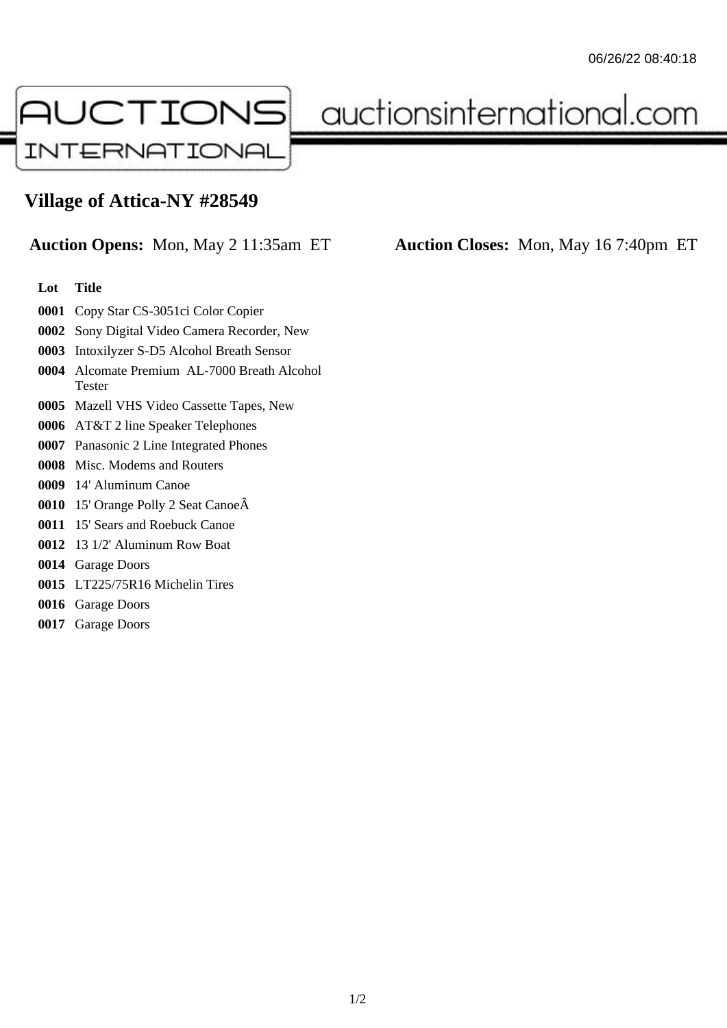

auctionsinternational.com

## **Village of Attica-NY #28549**

## **Auction Opens:** Mon, May 2 11:35am ET **Auction Closes:** Mon, May 16 7:40pm ET

## **Lot Title**

- Copy Star CS-3051ci Color Copier
- Sony Digital Video Camera Recorder, New
- Intoxilyzer S-D5 Alcohol Breath Sensor
- Alcomate Premium AL-7000 Breath Alcohol Tester
- Mazell VHS Video Cassette Tapes, New
- AT&T 2 line Speaker Telephones
- Panasonic 2 Line Integrated Phones
- Misc. Modems and Routers
- 14' Aluminum Canoe
- 15' Orange Polly 2 Seat Canoe
- 15' Sears and Roebuck Canoe
- 13 1/2' Aluminum Row Boat
- Garage Doors
- LT225/75R16 Michelin Tires
- Garage Doors
- Garage Doors